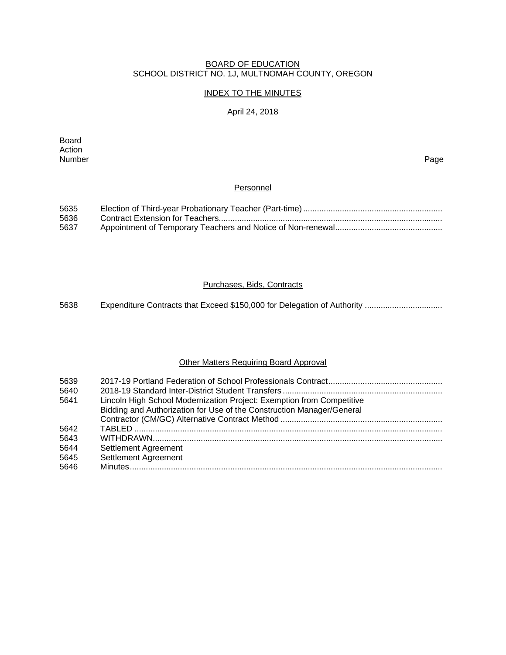## BOARD OF EDUCATION SCHOOL DISTRICT NO. 1J, MULTNOMAH COUNTY, OREGON

## INDEX TO THE MINUTES

## April 24, 2018

Board Action Number Page

## **Personnel**

| 5635 |  |
|------|--|
| 5636 |  |
| 5637 |  |

## Purchases, Bids, Contracts

5638 Expenditure Contracts that Exceed \$150,000 for Delegation of Authority .................................

## Other Matters Requiring Board Approval

| 5639<br>5640 |                                                                       |
|--------------|-----------------------------------------------------------------------|
| 5641         | Lincoln High School Modernization Project: Exemption from Competitive |
|              | Bidding and Authorization for Use of the Construction Manager/General |
|              |                                                                       |
| 5642         |                                                                       |
| 5643         |                                                                       |
| 5644         | Settlement Agreement                                                  |
| 5645         | Settlement Agreement                                                  |
| 5646         |                                                                       |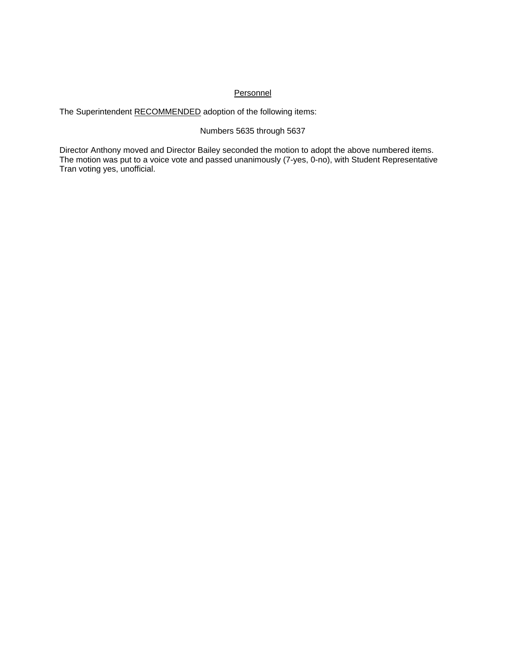## **Personnel**

The Superintendent RECOMMENDED adoption of the following items:

## Numbers 5635 through 5637

Director Anthony moved and Director Bailey seconded the motion to adopt the above numbered items. The motion was put to a voice vote and passed unanimously (7-yes, 0-no), with Student Representative Tran voting yes, unofficial.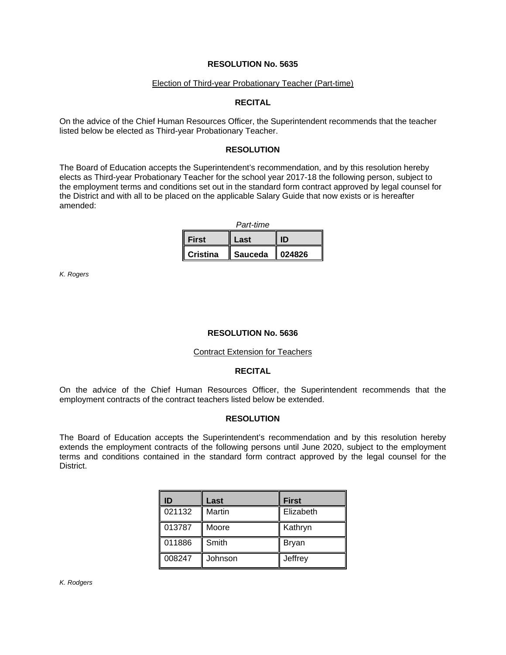#### Election of Third-year Probationary Teacher (Part-time)

#### **RECITAL**

On the advice of the Chief Human Resources Officer, the Superintendent recommends that the teacher listed below be elected as Third-year Probationary Teacher.

#### **RESOLUTION**

The Board of Education accepts the Superintendent's recommendation, and by this resolution hereby elects as Third-year Probationary Teacher for the school year 2017-18 the following person, subject to the employment terms and conditions set out in the standard form contract approved by legal counsel for the District and with all to be placed on the applicable Salary Guide that now exists or is hereafter amended:

| Part-time       |                |        |  |  |
|-----------------|----------------|--------|--|--|
| <b>First</b>    | Last           | ID     |  |  |
| <b>Cristina</b> | <b>Sauceda</b> | 024826 |  |  |

*K. Rogers* 

## **RESOLUTION No. 5636**

#### Contract Extension for Teachers

#### **RECITAL**

On the advice of the Chief Human Resources Officer, the Superintendent recommends that the employment contracts of the contract teachers listed below be extended.

## **RESOLUTION**

The Board of Education accepts the Superintendent's recommendation and by this resolution hereby extends the employment contracts of the following persons until June 2020, subject to the employment terms and conditions contained in the standard form contract approved by the legal counsel for the District.

| ID     | Last    | <b>First</b> |
|--------|---------|--------------|
| 021132 | Martin  | Elizabeth    |
| 013787 | Moore   | Kathryn      |
| 011886 | Smith   | <b>Bryan</b> |
| 008247 | Johnson | Jeffrey      |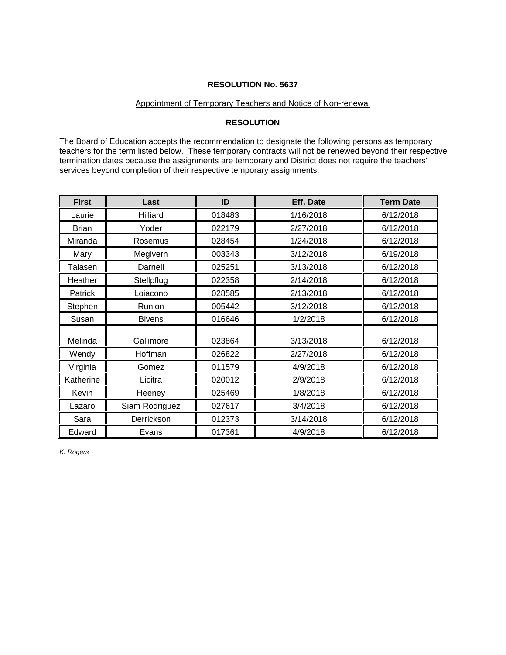## Appointment of Temporary Teachers and Notice of Non-renewal

## **RESOLUTION**

The Board of Education accepts the recommendation to designate the following persons as temporary teachers for the term listed below. These temporary contracts will not be renewed beyond their respective termination dates because the assignments are temporary and District does not require the teachers' services beyond completion of their respective temporary assignments.

| <b>First</b>   | Last           | ID     | <b>Eff. Date</b> | <b>Term Date</b> |
|----------------|----------------|--------|------------------|------------------|
| Laurie         | Hilliard       | 018483 | 1/16/2018        | 6/12/2018        |
| <b>Brian</b>   | Yoder          | 022179 | 2/27/2018        | 6/12/2018        |
| Miranda        | Rosemus        | 028454 | 1/24/2018        | 6/12/2018        |
| Mary           | Megivern       | 003343 | 3/12/2018        | 6/19/2018        |
| Talasen        | Darnell        | 025251 | 3/13/2018        | 6/12/2018        |
| Heather        | Stellpflug     | 022358 | 2/14/2018        | 6/12/2018        |
| <b>Patrick</b> | Loiacono       | 028585 | 2/13/2018        | 6/12/2018        |
| Stephen        | Runion         | 005442 | 3/12/2018        | 6/12/2018        |
| Susan          | <b>Bivens</b>  | 016646 | 1/2/2018         | 6/12/2018        |
| Melinda        | Gallimore      | 023864 | 3/13/2018        | 6/12/2018        |
| Wendy          | Hoffman        | 026822 | 2/27/2018        | 6/12/2018        |
| Virginia       | Gomez          | 011579 | 4/9/2018         | 6/12/2018        |
| Katherine      | Licitra        | 020012 | 2/9/2018         | 6/12/2018        |
| Kevin          | Heeney         | 025469 | 1/8/2018         | 6/12/2018        |
| Lazaro         | Siam Rodriguez | 027617 | 3/4/2018         | 6/12/2018        |
| Sara           | Derrickson     | 012373 | 3/14/2018        | 6/12/2018        |
| Edward         | Evans          | 017361 | 4/9/2018         | 6/12/2018        |

*K. Rogers*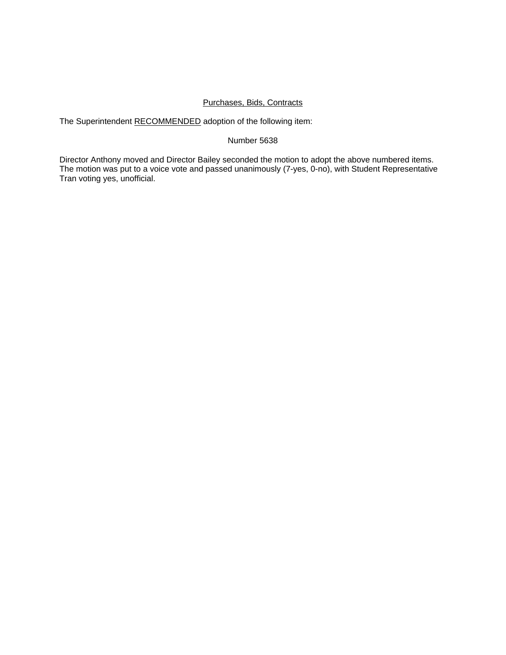## Purchases, Bids, Contracts

The Superintendent RECOMMENDED adoption of the following item:

### Number 5638

Director Anthony moved and Director Bailey seconded the motion to adopt the above numbered items. The motion was put to a voice vote and passed unanimously (7-yes, 0-no), with Student Representative Tran voting yes, unofficial.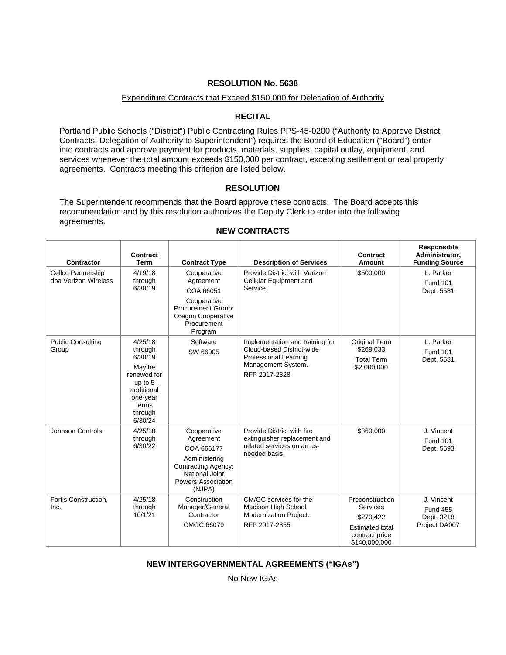## Expenditure Contracts that Exceed \$150,000 for Delegation of Authority

## **RECITAL**

Portland Public Schools ("District") Public Contracting Rules PPS-45-0200 ("Authority to Approve District Contracts; Delegation of Authority to Superintendent") requires the Board of Education ("Board") enter into contracts and approve payment for products, materials, supplies, capital outlay, equipment, and services whenever the total amount exceeds \$150,000 per contract, excepting settlement or real property agreements. Contracts meeting this criterion are listed below.

## **RESOLUTION**

The Superintendent recommends that the Board approve these contracts. The Board accepts this recommendation and by this resolution authorizes the Deputy Clerk to enter into the following agreements.

|                                            |                                                                                                                            |                                                                                                                                                | NEW GUNTRACTS                                                                                                                       |                                                                                                       |                                                              |
|--------------------------------------------|----------------------------------------------------------------------------------------------------------------------------|------------------------------------------------------------------------------------------------------------------------------------------------|-------------------------------------------------------------------------------------------------------------------------------------|-------------------------------------------------------------------------------------------------------|--------------------------------------------------------------|
| Contractor                                 | Contract<br><b>Term</b>                                                                                                    | <b>Contract Type</b>                                                                                                                           | <b>Description of Services</b>                                                                                                      | Contract<br>Amount                                                                                    | Responsible<br>Administrator,<br><b>Funding Source</b>       |
| Cellco Partnership<br>dba Verizon Wireless | 4/19/18<br>through<br>6/30/19                                                                                              | Cooperative<br>Agreement<br>COA 66051<br>Cooperative<br>Procurement Group:<br>Oregon Cooperative<br>Procurement<br>Program                     | Provide District with Verizon<br>Cellular Equipment and<br>Service.                                                                 | \$500,000                                                                                             | L. Parker<br><b>Fund 101</b><br>Dept. 5581                   |
| <b>Public Consulting</b><br>Group          | 4/25/18<br>through<br>6/30/19<br>May be<br>renewed for<br>up to 5<br>additional<br>one-year<br>terms<br>through<br>6/30/24 | Software<br>SW 66005                                                                                                                           | Implementation and training for<br>Cloud-based District-wide<br><b>Professional Learning</b><br>Management System.<br>RFP 2017-2328 | Original Term<br>\$269,033<br><b>Total Term</b><br>\$2,000,000                                        | L. Parker<br><b>Fund 101</b><br>Dept. 5581                   |
| <b>Johnson Controls</b>                    | 4/25/18<br>through<br>6/30/22                                                                                              | Cooperative<br>Agreement<br>COA 666177<br>Administering<br><b>Contracting Agency:</b><br>National Joint<br><b>Powers Association</b><br>(NJPA) | Provide District with fire<br>extinguisher replacement and<br>related services on an as-<br>needed basis.                           | \$360,000                                                                                             | J. Vincent<br><b>Fund 101</b><br>Dept. 5593                  |
| Fortis Construction,<br>Inc.               | 4/25/18<br>through<br>10/1/21                                                                                              | Construction<br>Manager/General<br>Contractor<br>CMGC 66079                                                                                    | CM/GC services for the<br>Madison High School<br>Modernization Project.<br>RFP 2017-2355                                            | Preconstruction<br>Services<br>\$270,422<br><b>Estimated total</b><br>contract price<br>\$140,000,000 | J. Vincent<br><b>Fund 455</b><br>Dept. 3218<br>Project DA007 |

### **NEW CONTRACTS**

## **NEW INTERGOVERNMENTAL AGREEMENTS ("IGAs")**

No New IGAs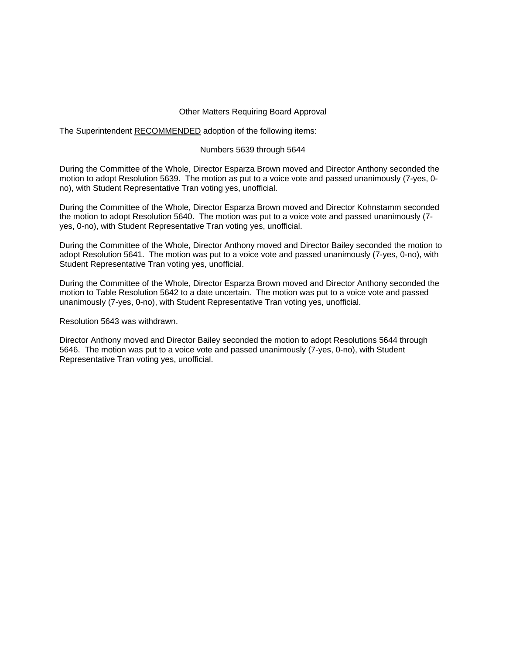#### Other Matters Requiring Board Approval

The Superintendent RECOMMENDED adoption of the following items:

## Numbers 5639 through 5644

During the Committee of the Whole, Director Esparza Brown moved and Director Anthony seconded the motion to adopt Resolution 5639. The motion as put to a voice vote and passed unanimously (7-yes, 0 no), with Student Representative Tran voting yes, unofficial.

During the Committee of the Whole, Director Esparza Brown moved and Director Kohnstamm seconded the motion to adopt Resolution 5640. The motion was put to a voice vote and passed unanimously (7 yes, 0-no), with Student Representative Tran voting yes, unofficial.

During the Committee of the Whole, Director Anthony moved and Director Bailey seconded the motion to adopt Resolution 5641. The motion was put to a voice vote and passed unanimously (7-yes, 0-no), with Student Representative Tran voting yes, unofficial.

During the Committee of the Whole, Director Esparza Brown moved and Director Anthony seconded the motion to Table Resolution 5642 to a date uncertain. The motion was put to a voice vote and passed unanimously (7-yes, 0-no), with Student Representative Tran voting yes, unofficial.

Resolution 5643 was withdrawn.

Director Anthony moved and Director Bailey seconded the motion to adopt Resolutions 5644 through 5646. The motion was put to a voice vote and passed unanimously (7-yes, 0-no), with Student Representative Tran voting yes, unofficial.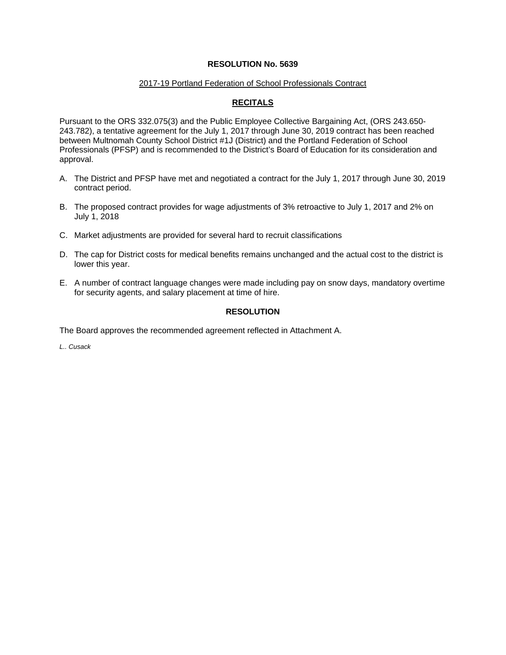### 2017-19 Portland Federation of School Professionals Contract

# **RECITALS**

Pursuant to the ORS 332.075(3) and the Public Employee Collective Bargaining Act, (ORS 243.650- 243.782), a tentative agreement for the July 1, 2017 through June 30, 2019 contract has been reached between Multnomah County School District #1J (District) and the Portland Federation of School Professionals (PFSP) and is recommended to the District's Board of Education for its consideration and approval.

- A. The District and PFSP have met and negotiated a contract for the July 1, 2017 through June 30, 2019 contract period.
- B. The proposed contract provides for wage adjustments of 3% retroactive to July 1, 2017 and 2% on July 1, 2018
- C. Market adjustments are provided for several hard to recruit classifications
- D. The cap for District costs for medical benefits remains unchanged and the actual cost to the district is lower this year.
- E. A number of contract language changes were made including pay on snow days, mandatory overtime for security agents, and salary placement at time of hire.

## **RESOLUTION**

The Board approves the recommended agreement reflected in Attachment A.

*L.. Cusack*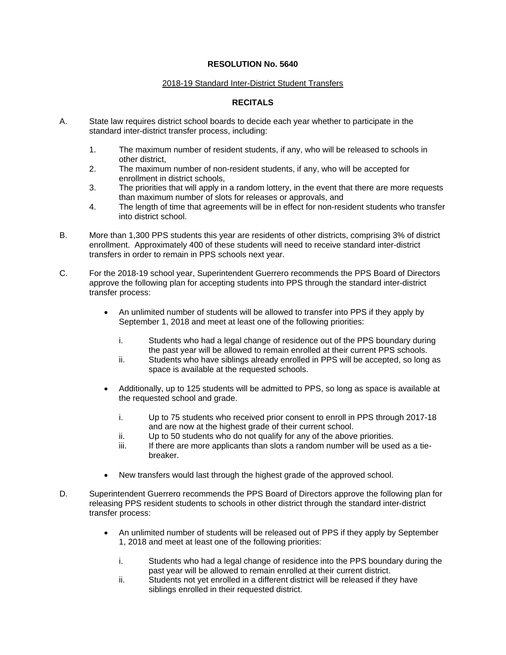### 2018-19 Standard Inter-District Student Transfers

## **RECITALS**

- A. State law requires district school boards to decide each year whether to participate in the standard inter-district transfer process, including:
	- 1. The maximum number of resident students, if any, who will be released to schools in other district,
	- 2. The maximum number of non-resident students, if any, who will be accepted for enrollment in district schools,
	- 3. The priorities that will apply in a random lottery, in the event that there are more requests than maximum number of slots for releases or approvals, and
	- 4. The length of time that agreements will be in effect for non-resident students who transfer into district school.
- B. More than 1,300 PPS students this year are residents of other districts, comprising 3% of district enrollment. Approximately 400 of these students will need to receive standard inter-district transfers in order to remain in PPS schools next year.
- C. For the 2018-19 school year, Superintendent Guerrero recommends the PPS Board of Directors approve the following plan for accepting students into PPS through the standard inter-district transfer process:
	- An unlimited number of students will be allowed to transfer into PPS if they apply by September 1, 2018 and meet at least one of the following priorities:
		- i. Students who had a legal change of residence out of the PPS boundary during the past year will be allowed to remain enrolled at their current PPS schools.
		- ii. Students who have siblings already enrolled in PPS will be accepted, so long as space is available at the requested schools.
	- Additionally, up to 125 students will be admitted to PPS, so long as space is available at the requested school and grade.
		- i. Up to 75 students who received prior consent to enroll in PPS through 2017-18 and are now at the highest grade of their current school.
		- ii. Up to 50 students who do not qualify for any of the above priorities.
		- iii. If there are more applicants than slots a random number will be used as a tiebreaker.
	- New transfers would last through the highest grade of the approved school.
- D. Superintendent Guerrero recommends the PPS Board of Directors approve the following plan for releasing PPS resident students to schools in other district through the standard inter-district transfer process:
	- An unlimited number of students will be released out of PPS if they apply by September 1, 2018 and meet at least one of the following priorities:
		- i. Students who had a legal change of residence into the PPS boundary during the past year will be allowed to remain enrolled at their current district.
		- ii. Students not yet enrolled in a different district will be released if they have siblings enrolled in their requested district.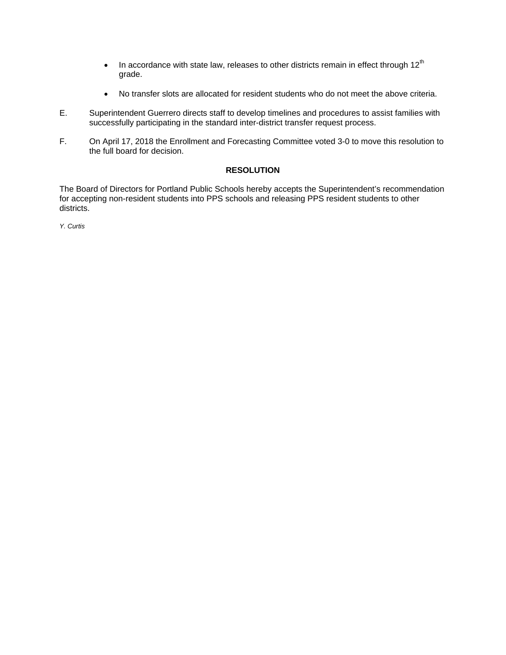- In accordance with state law, releases to other districts remain in effect through  $12<sup>th</sup>$ grade.
- No transfer slots are allocated for resident students who do not meet the above criteria.
- E. Superintendent Guerrero directs staff to develop timelines and procedures to assist families with successfully participating in the standard inter-district transfer request process.
- F. On April 17, 2018 the Enrollment and Forecasting Committee voted 3-0 to move this resolution to the full board for decision.

## **RESOLUTION**

The Board of Directors for Portland Public Schools hereby accepts the Superintendent's recommendation for accepting non-resident students into PPS schools and releasing PPS resident students to other districts.

*Y. Curtis*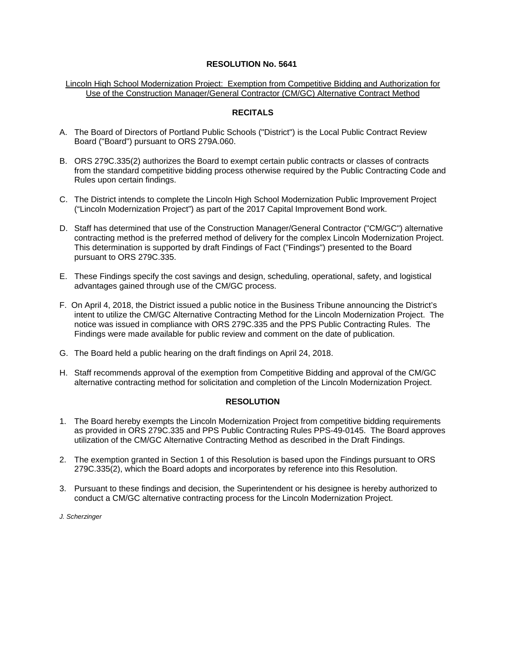Lincoln High School Modernization Project: Exemption from Competitive Bidding and Authorization for Use of the Construction Manager/General Contractor (CM/GC) Alternative Contract Method

## **RECITALS**

- A. The Board of Directors of Portland Public Schools ("District") is the Local Public Contract Review Board ("Board") pursuant to ORS 279A.060.
- B. ORS 279C.335(2) authorizes the Board to exempt certain public contracts or classes of contracts from the standard competitive bidding process otherwise required by the Public Contracting Code and Rules upon certain findings.
- C. The District intends to complete the Lincoln High School Modernization Public Improvement Project ("Lincoln Modernization Project") as part of the 2017 Capital Improvement Bond work.
- D. Staff has determined that use of the Construction Manager/General Contractor ("CM/GC") alternative contracting method is the preferred method of delivery for the complex Lincoln Modernization Project. This determination is supported by draft Findings of Fact ("Findings") presented to the Board pursuant to ORS 279C.335.
- E. These Findings specify the cost savings and design, scheduling, operational, safety, and logistical advantages gained through use of the CM/GC process.
- F. On April 4, 2018, the District issued a public notice in the Business Tribune announcing the District's intent to utilize the CM/GC Alternative Contracting Method for the Lincoln Modernization Project. The notice was issued in compliance with ORS 279C.335 and the PPS Public Contracting Rules. The Findings were made available for public review and comment on the date of publication.
- G. The Board held a public hearing on the draft findings on April 24, 2018.
- H. Staff recommends approval of the exemption from Competitive Bidding and approval of the CM/GC alternative contracting method for solicitation and completion of the Lincoln Modernization Project.

#### **RESOLUTION**

- 1. The Board hereby exempts the Lincoln Modernization Project from competitive bidding requirements as provided in ORS 279C.335 and PPS Public Contracting Rules PPS-49-0145. The Board approves utilization of the CM/GC Alternative Contracting Method as described in the Draft Findings.
- 2. The exemption granted in Section 1 of this Resolution is based upon the Findings pursuant to ORS 279C.335(2), which the Board adopts and incorporates by reference into this Resolution.
- 3. Pursuant to these findings and decision, the Superintendent or his designee is hereby authorized to conduct a CM/GC alternative contracting process for the Lincoln Modernization Project.

*J. Scherzinger*